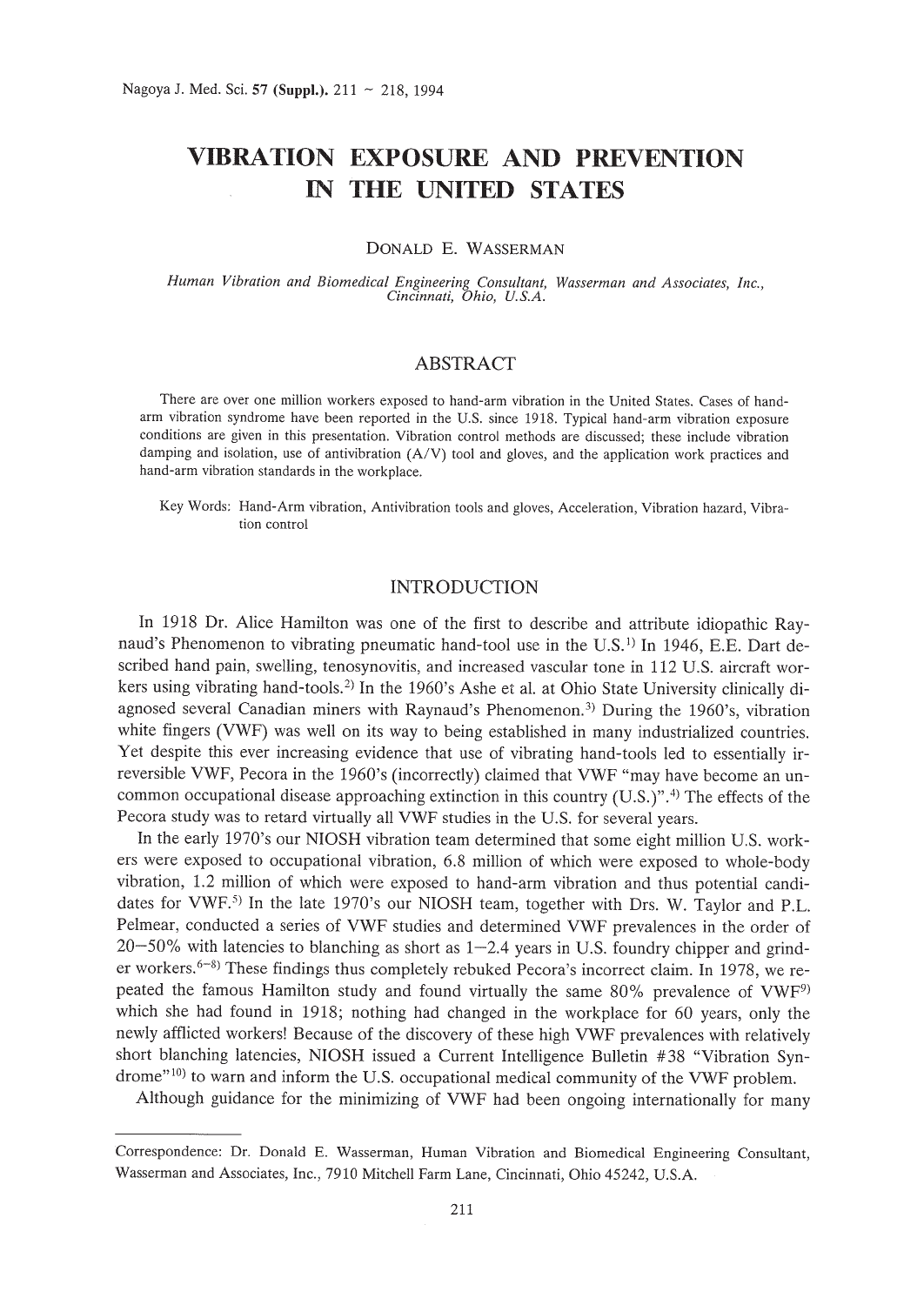# **vmRATION EXPOSURE AND PREVENTION IN THE UNITED STATES**

#### DONALD E. WASSERMAN

*Human Vibration and Biomedical Engineering Consultant, Wasserman and Associates, Inc., Cincinnati, Ohio, U.S.A.*

## **ABSTRACT**

There are over one million workers exposed to hand-arm vibration in the United States. Cases of handarm vibration syndrome have been reported in the U.S. since 1918. Typical hand-arm vibration exposure conditions are given in this presentation. Vibration control methods are discussed; these include vibration damping and isolation, use of antivibration (A/V) tool and gloves, and the application work practices and hand-arm vibration standards in the workplace.

Key Words: Hand-Arm vibration, Antivibration tools and gloves, Acceleration, Vibration hazard, Vibration control

### **INTRODUCTION**

In 1918 Dr. Alice Hamilton was one of the first to describe and attribute idiopathic Raynaud's Phenomenon to vibrating pneumatic hand-tool use in the U.S.<sup>1)</sup> In 1946, E.E. Dart described hand pain, swelling, tenosynovitis, and increased vascular tone in 112 U.S. aircraft workers using vibrating hand-tools.<sup>2)</sup> In the 1960's Ashe et al. at Ohio State University clinically diagnosed several Canadian miners with Raynaud's Phenomenon. 3) During the 1960's, vibration white fingers (VWF) was well on its way to being established in many industrialized countries. Yet despite this ever increasing evidence that use of vibrating hand-tools led to essentially irreversible VWF, Pecora in the 1960's (incorrectly) claimed that VWF "may have become an uncommon occupational disease approaching extinction in this country  $(US.)$ ".<sup>4)</sup> The effects of the Pecora study was to retard virtually all VWF studies in the U.S. for several years.

In the early 1970's our NIOSH vibration team determined that some eight million U.S. workers were exposed to occupational vibration, 6.8 million of which were exposed to whole-body vibration, 1.2 million of which were exposed to hand-arm vibration and thus potential candidates for VWF.<sup>5)</sup> In the late 1970's our NIOSH team, together with Drs. W. Taylor and P.L. Pelmear, conducted a series of VWF studies and determined VWF prevalences in the order of  $20-50$ % with latencies to blanching as short as  $1-2.4$  years in U.S. foundry chipper and grinder workers.<sup>6-8)</sup> These findings thus completely rebuked Pecora's incorrect claim. In 1978, we repeated the famous Hamilton study and found virtually the same 80% prevalence of VWF9) which she had found in 1918; nothing had changed in the workplace for 60 years, only the newly afflicted workers! Because of the discovery of these high VWF prevalences with relatively short blanching latencies, NIOSH issued a Current Intelligence Bulletin #38 "Vibration Syndrome<sup>"10</sup>) to warn and inform the U.S. occupational medical community of the VWF problem.

Although guidance for the minimizing of VWF had been ongoing internationally for many

Correspondence: Dr. Donald E. Wasserman, Human Vibration and Biomedical Engineering Consultant, Wasserman and Associates, Inc., 7910 Mitchell Farm Lane, Cincinnati, Ohio 45242, U.S.A.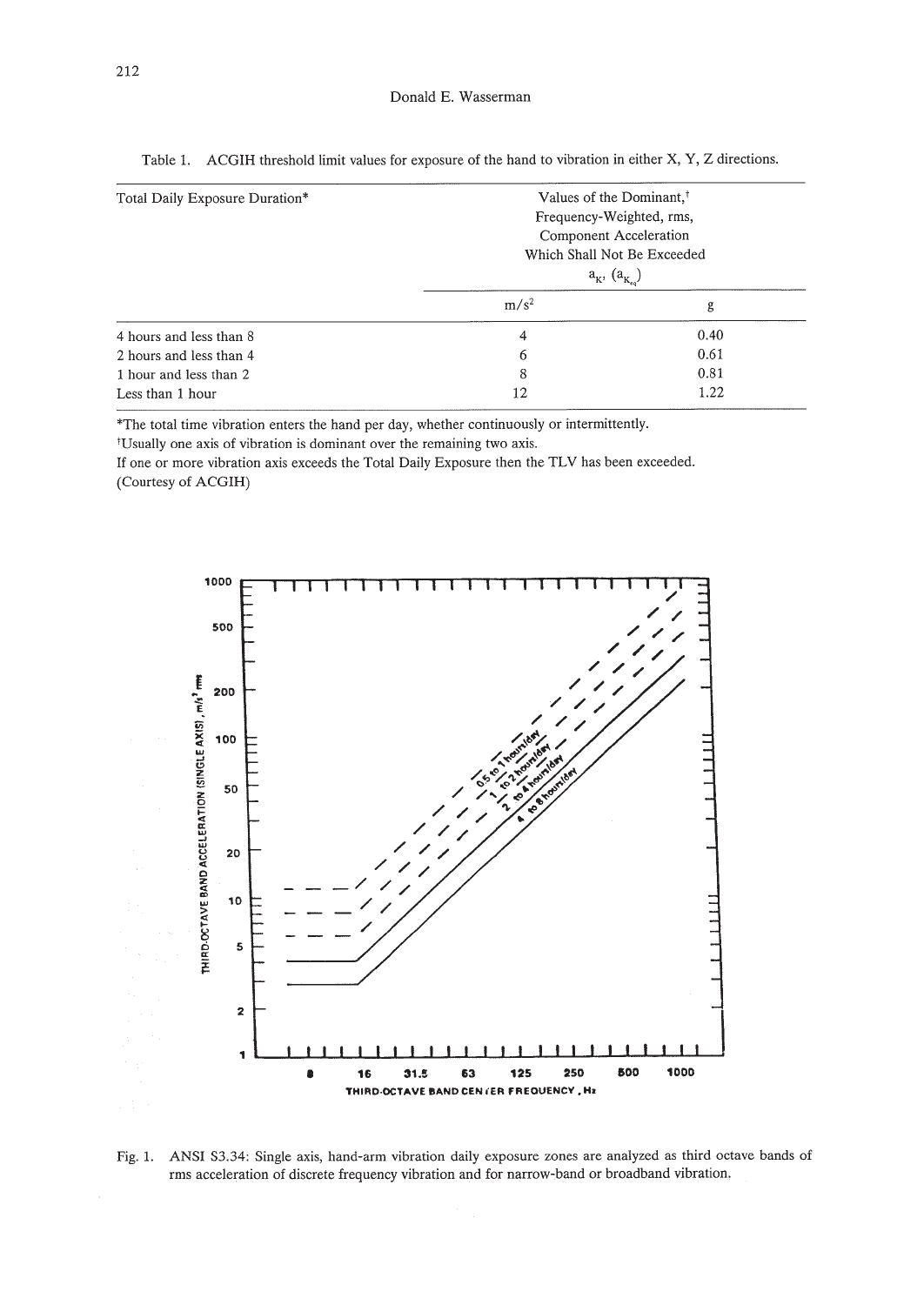| Total Daily Exposure Duration* | Values of the Dominant, <sup>†</sup><br>Frequency-Weighted, rms,<br>Component Acceleration<br>Which Shall Not Be Exceeded<br>$a_{K}$ , $(a_{K_n})$ |      |
|--------------------------------|----------------------------------------------------------------------------------------------------------------------------------------------------|------|
|                                |                                                                                                                                                    |      |
|                                | 4 hours and less than 8                                                                                                                            | 4    |
| 2 hours and less than 4        | 6                                                                                                                                                  | 0.61 |
| 1 hour and less than 2         | 8                                                                                                                                                  | 0.81 |
| Less than 1 hour               | 12                                                                                                                                                 | 1.22 |

Table 1. ACGIH threshold limit values for exposure of the hand to vibration in either X, Y, Z directions.

'The total time vibration enters the hand per day, whether continuously or intermittently.

tUsually one axis of vibration is dominant over the remaining two axis.

If one or more vibration axis exceeds the Total Daily Exposure then the TLV has been exceeded. (Courtesy of ACGIH)



Fig. 1. ANSI S3.34: Single axis, hand-arm vibration daily exposure zones are analyzed as third octave bands of rms acceleration of discrete frequency vibration and for narrow-band or broadband vibration.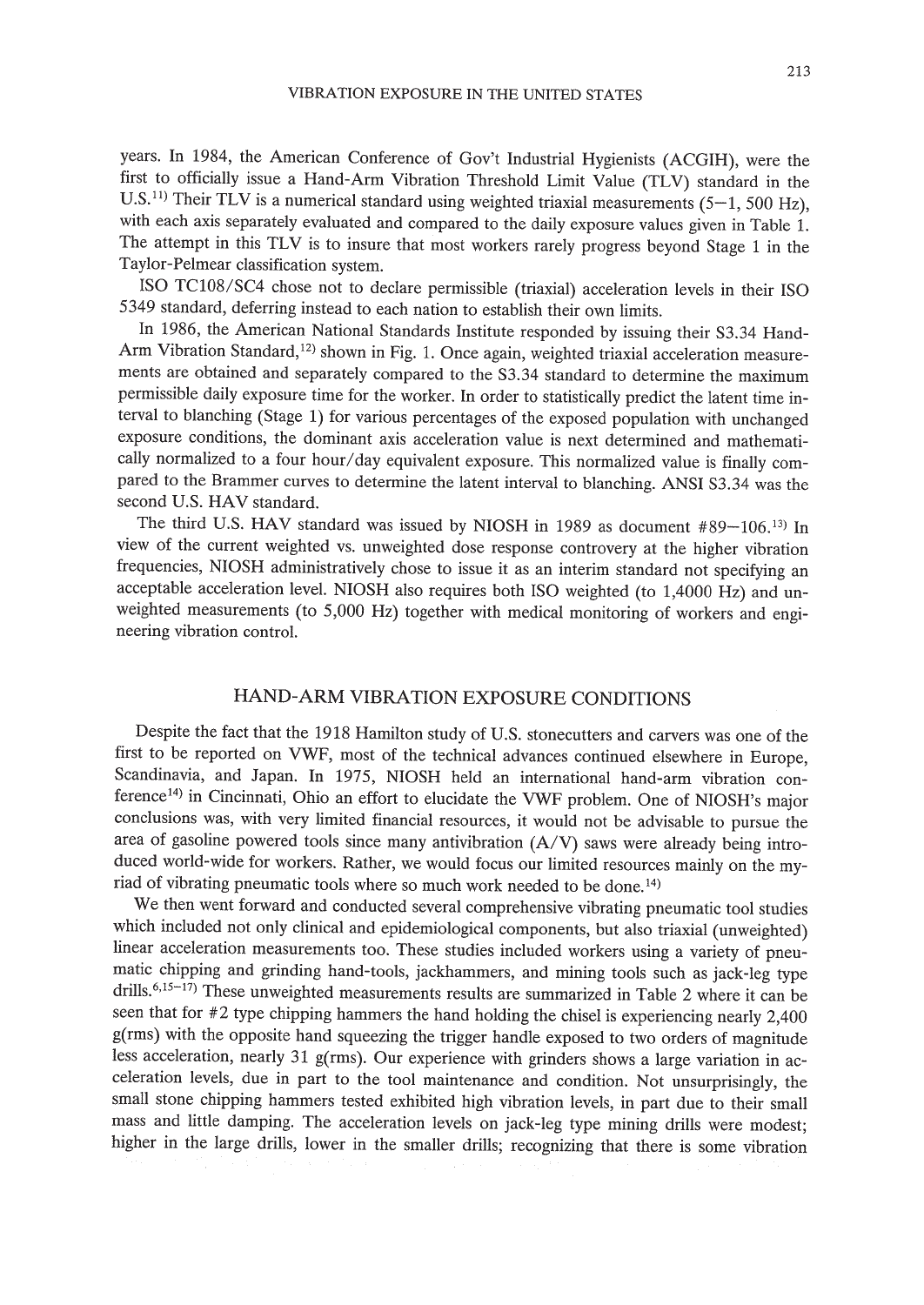years. In 1984, the American Conference of Gov't Industrial Hygienists (ACGIH), were the first to officially issue a Hand-Arm Vibration Threshold Limit Value (TLV) standard in the U.S.<sup>11)</sup> Their TLV is a numerical standard using weighted triaxial measurements (5-1, 500 Hz), with each axis separately evaluated and compared to the daily exposure values given in Table 1. The attempt in this TLV is to insure that most workers rarely progress beyond Stage 1 in the Taylor-Pelmear classification system.

ISO TC108/SC4 chose not to declare permissible (triaxial) acceleration levels in their ISO 5349 standard, deferring instead to each nation to establish their own limits.

In 1986, the American National Standards Institute responded by issuing their S3.34 Hand-Arm Vibration Standard,<sup>12)</sup> shown in Fig. 1. Once again, weighted triaxial acceleration measurements are obtained and separately compared to the S3.34 standard to determine the maximum permissible daily exposure time for the worker. In order to statistically predict the latent time interval to blanching (Stage 1) for various percentages of the exposed population with unchanged exposure conditions, the dominant axis acceleration value is next determined and mathematically normalized to a four hour/day equivalent exposure. This normalized value is finally compared to the Brammer curves to determine the latent interval to blanching. ANSI S3.34 was the second U.S. HAV standard.

The third U.S. HAV standard was issued by NIOSH in 1989 as document #89-106.<sup>13)</sup> In view of the current weighted vs. unweighted dose response controvery at the higher vibration frequencies, NIOSH administratively chose to issue it as an interim standard not specifying an acceptable acceleration level. NIOSH also requires both ISO weighted (to 1,4000 Hz) and unweighted measurements (to 5,000 Hz) together with medical monitoring of workers and engineering vibration control.

## HAND-ARM VIBRATION EXPOSURE CONDITIONS

Despite the fact that the 1918 Hamilton study of U.S. stonecutters and carvers was one of the first to be reported on VWF, most of the technical advances continued elsewhere in Europe, Scandinavia, and Japan. In 1975, NIOSH held an international hand-arm vibration conference<sup>14)</sup> in Cincinnati, Ohio an effort to elucidate the VWF problem. One of NIOSH's major conclusions was, with very limited financial resources, it would not be advisable to pursue the area of gasoline powered tools since many antivibration (A/V) saws were already being introduced world-wide for workers. Rather, we would focus our limited resources mainly on the myriad of vibrating pneumatic tools where so much work needed to be done. 14)

We then went forward and conducted several comprehensive vibrating pneumatic tool studies which included not only clinical and epidemiological components, but also triaxial (unweighted) linear acceleration measurements too. These studies included workers using a variety of pneumatic chipping and grinding hand-tools, jackhammers, and mining tools such as jack-leg type drills.<sup>6,15-17</sup>) These unweighted measurements results are summarized in Table 2 where it can be seen that for #2 type chipping hammers the hand holding the chisel is experiencing nearly 2,400  $g(rms)$  with the opposite hand squeezing the trigger handle exposed to two orders of magnitude less acceleration, nearly 31 g(rms). Our experience with grinders shows a large variation in acceleration levels, due in part to the tool maintenance and condition. Not unsurprisingly, the small stone chipping hammers tested exhibited high vibration levels, in part due to their small mass and little damping. The acceleration levels on jack-leg type mining drills were modest; higher in the large drills, lower in the smaller drills; recognizing that there is some vibration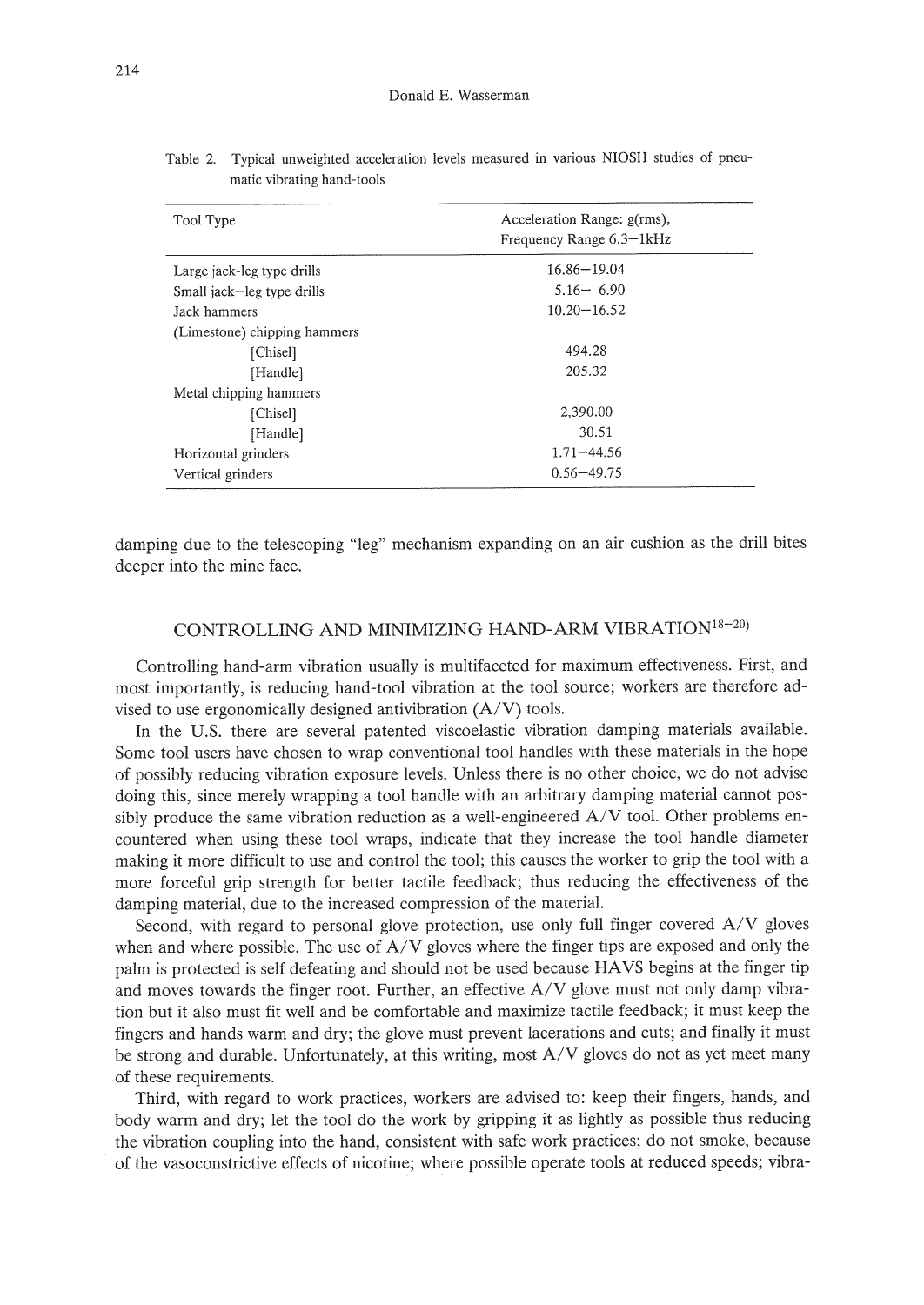| Tool Type                    | Acceleration Range: g(rms),<br>Frequency Range 6.3-1kHz |  |
|------------------------------|---------------------------------------------------------|--|
| Large jack-leg type drills   | $16.86 - 19.04$                                         |  |
| Small jack-leg type drills   | $5.16 - 6.90$                                           |  |
| Jack hammers                 | $10.20 - 16.52$                                         |  |
| (Limestone) chipping hammers |                                                         |  |
| [Chisel]                     | 494.28                                                  |  |
| [Handle]                     | 205.32                                                  |  |
| Metal chipping hammers       |                                                         |  |
| [Chisel]                     | 2,390.00                                                |  |
| [Handle]                     | 30.51                                                   |  |
| Horizontal grinders          | $1.71 - 44.56$                                          |  |
| Vertical grinders            | $0.56 - 49.75$                                          |  |

Table 2. Typical unweighted acceleration levels measured in various NIOSH studies of pneumatic vibrating hand-tools

damping due to the telescoping "leg" mechanism expanding on an air cushion as the drill bites deeper into the mine face.

# CONTROLLING AND MINIMIZING HAND-ARM VIBRATION18-20)

Controlling hand-arm vibration usually is multifaceted for maximum effectiveness. First, and most importantly, is reducing hand-tool vibration at the tool source; workers are therefore advised to use ergonomically designed antivibration (A/V) tools.

**In** the U.S. there are several patented viscoelastic vibration damping materials available. Some tool users have chosen to wrap conventional tool handles with these materials in the hope of possibly reducing vibration exposure levels. Unless there is no other choice, we do not advise doing this, since merely wrapping a tool handle with an arbitrary damping material cannot possibly produce the same vibration reduction as a well-engineered  $A/V$  tool. Other problems encountered when using these tool wraps, indicate that they increase the tool handle diameter making it more difficult to use and control the tool; this causes the worker to grip the tool with a more forceful grip strength for better tactile feedback; thus reducing the effectiveness of the damping material, due to the increased compression of the material.

Second, with regard to personal glove protection, use only full finger covered A/V gloves when and where possible. The use of A/V gloves where the finger tips are exposed and only the palm is protected is self defeating and should not be used because HAVS begins at the finger tip and moves towards the finger root. Further, an effective  $A/V$  glove must not only damp vibration but it also must fit well and be comfortable and maximize tactile feedback; it must keep the fingers and hands warm and dry; the glove must prevent lacerations and cuts; and finally it must be strong and durable. Unfortunately, at this writing, most A/V gloves do not as yet meet many of these requirements.

Third, with regard to work practices, workers are advised to: keep their fingers, hands, and body warm and dry; let the tool do the work by gripping it as lightly as possible thus reducing the vibration coupling into the hand, consistent with safe work practices; do not smoke, because of the vasoconstrictive effects of nicotine; where possible operate tools at reduced speeds; vibra-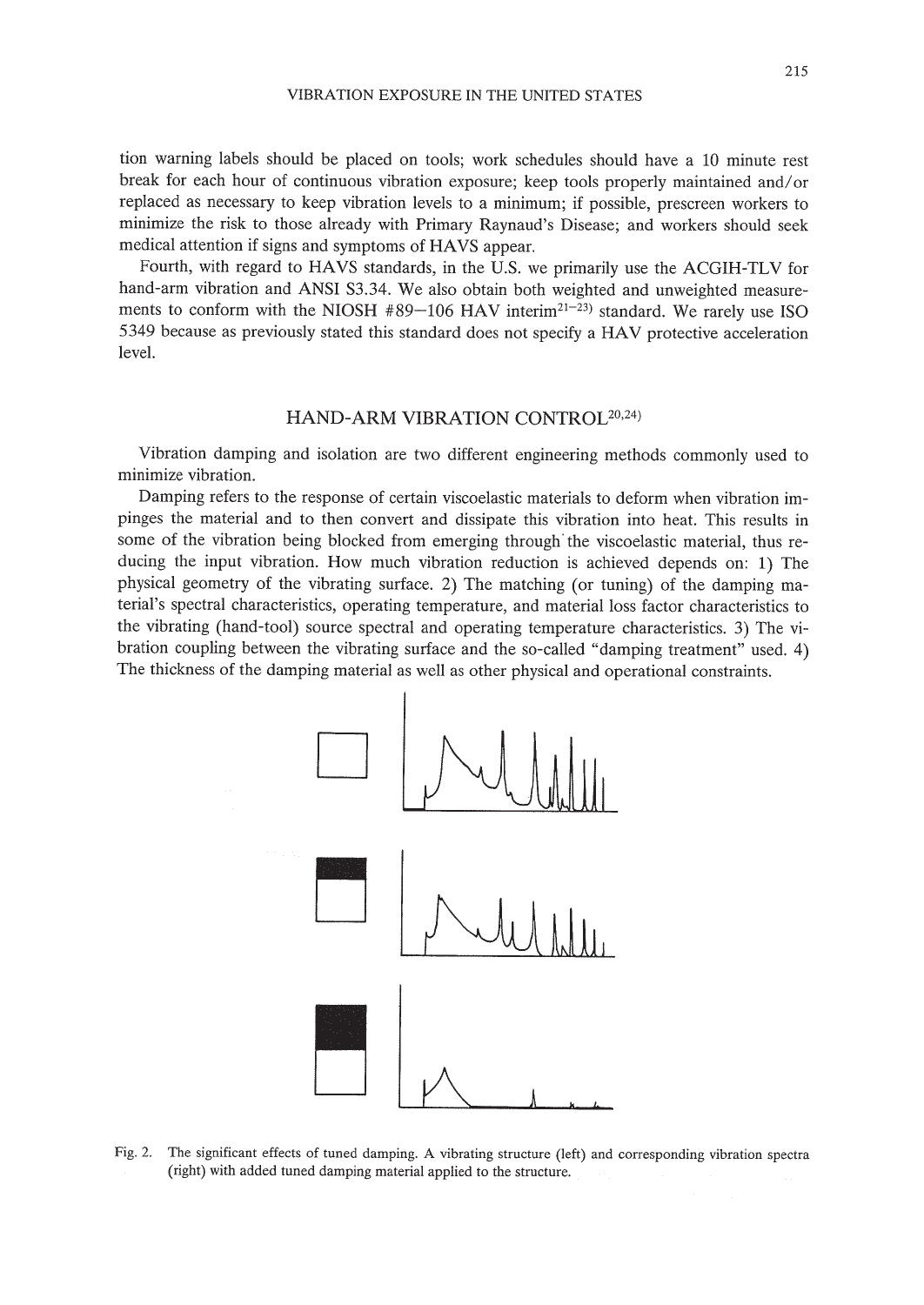#### VIBRATION EXPOSURE IN THE UNITED STATES

tion warning labels should be placed on tools; work schedules should have a 10 minute rest break for each hour of continuous vibration exposure; keep tools properly maintained and/or replaced as necessary to keep vibration levels to a minimum; if possible, prescreen workers to minimize the risk to those already with Primary Raynaud's Disease; and workers should seek medical attention if signs and symptoms of HAVS appear.

Fourth, with regard to HAVS standards, in the U.S. we primarily use the ACGIH-TLV for hand-arm vibration and ANSI *S3.34.* We also obtain both weighted and unweighted measurements to conform with the NIOSH  $#89-106$  HAV interim<sup>21-23</sup> standard. We rarely use ISO 5349 because as previously stated this standard does not specify a HAV protective acceleration level.

### HAND-ARM VIBRATION CONTROL<sup>20,24)</sup>

Vibration damping and isolation are two different engineering methods commonly used to minimize vibration.

Damping refers to the response of certain viscoelastic materials to deform when vibration impinges the material and to then convert and dissipate this vibration into heat. This results in some of the vibration being blocked from emerging through'the viscoelastic material, thus reducing the input vibration. How much vibration reduction is achieved depends on: 1) The physical geometry of the vibrating surface. 2) The matching (or tuning) of the damping material's spectral characteristics, operating temperature, and material loss factor characteristics to the vibrating (hand-tool) source spectral and operating temperature characteristics. 3) The vibration coupling between the vibrating surface and the so-called "damping treatment" used. 4) The thickness of the damping material as well as other physical and operational constraints.



Fig. 2. The significant effects of tuned damping. A vibrating structure (left) and corresponding vibration spectra (right) with added tuned damping material applied to the structure.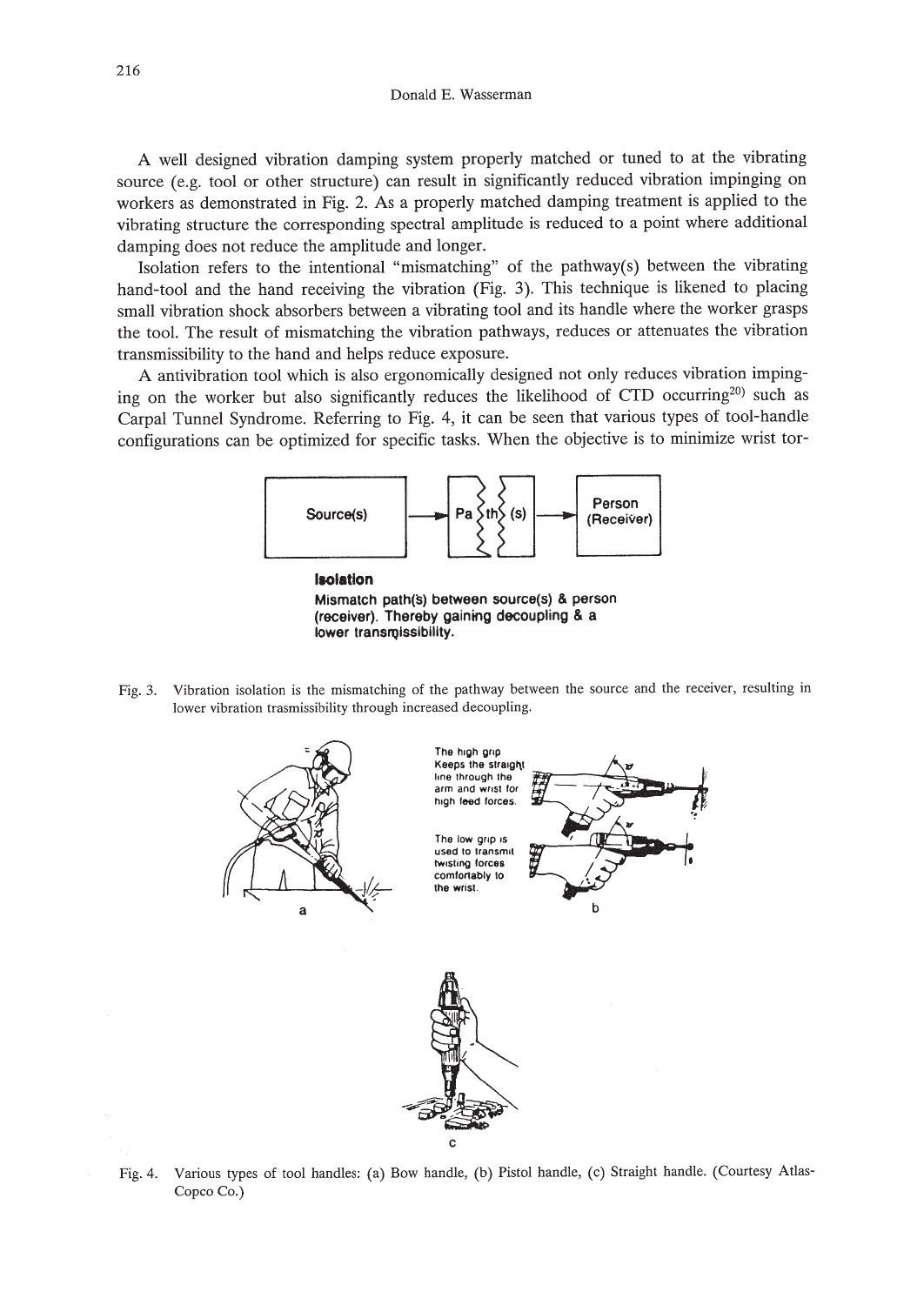A well designed vibration damping system properly matched or tuned to at the vibrating source (e.g. tool or other structure) can result in significantly reduced vibration impinging on workers as demonstrated in Fig. 2. As a properly matched damping treatment is applied to the vibrating structure the corresponding spectral amplitude is reduced to a point where additional damping does not reduce the amplitude and longer.

Isolation refers to the intentional "mismatching" of the pathway(s) between the vibrating hand-tool and the hand receiving the vibration (Fig. 3). This technique is likened to placing small vibration shock absorbers between a vibrating tool and its handle where the worker grasps the tool. The result of mismatching the vibration pathways, reduces or attenuates the vibration transmissibility to the hand and helps reduce exposure.

A antivibration tool which is also ergonomically designed not only reduces vibration impinging on the worker but also significantly reduces the likelihood of CTD occurring20) such as Carpal Tunnel Syndrome. Referring to Fig. 4, it can be seen that various types of tool-handle configurations can be optimized for specific tasks. When the objective is to minimize wrist tor-



**(receiver). Thereby gaining decoupling & a lower** *transmissibility*.

Fig. 3. Vibration isolation is the mismatching of the pathway between the source and the receiver, resulting in lower vibration trasmissibility through increased decoupling.



Fig. 4. Various types of tool handles: (a) Bow handle, (b) Pistol handle, (c) Straight handle. (Courtesy Atlas-Copco Co.)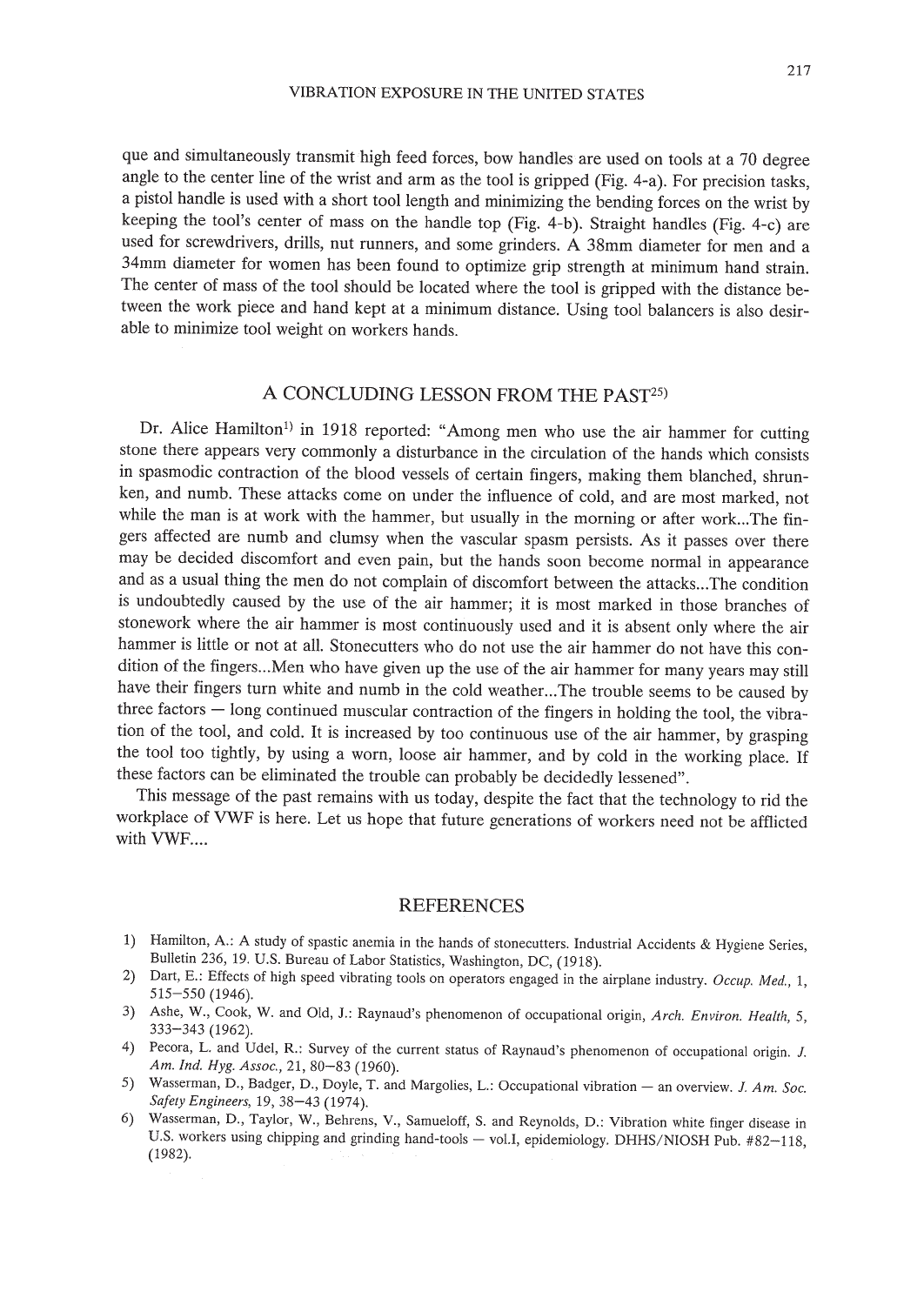217

que and simultaneously transmit high feed forces, bow handles are used on tools at a 70 degree angle to the center line of the wrist and arm as the tool is gripped (Fig. 4-a). For precision tasks, a pistol handle is used with a short tool length and minimizing the bending forces on the wrist by keeping the tool's center of mass on the handle top (Fig. 4-b). Straight handles (Fig. 4-c) are used for screwdrivers, drills, nut runners, and some grinders. A 38mm diameter for men and a 34mm diameter for women has been found to optimize grip strength at minimum hand strain. The center of mass of the tool should be located where the tool is gripped with the distance between the work piece and hand kept at a minimum distance. Using tool balancers is also desirable to minimize tool weight on workers hands.

# A CONCLUDING LESSON FROM THE PAST25)

Dr. Alice Hamilton<sup>1)</sup> in 1918 reported: "Among men who use the air hammer for cutting stone there appears very commonly a disturbance in the circulation of the hands which consists in spasmodic contraction of the blood vessels of certain fingers, making them blanched, shrunken, and numb. These attacks come on under the influence of cold, and are most marked, not while the man is at work with the hammer, but usually in the morning or after work..The fingers affected are numb and clumsy when the vascular spasm persists. As it passes over there may be decided discomfort and even pain, but the hands soon become normal in appearance and as a usual thing the men do not complain of discomfort between the attacks..The condition is undoubtedly caused by the use of the air hammer; it is most marked in those branches of stonework where the air hammer is most continuously used and it is absent only where the air hammer is little or not at all. Stonecutters who do not use the air hammer do not have this condition of the fingers...Men who have given up the use of the air hammer for many years may still have their fingers turn white and numb in the cold weather...The trouble seems to be caused by three factors - long continued muscular contraction of the fingers in holding the tool, the vibration of the tool, and cold. It is increased by too continuous use of the air hammer, by grasping the tool too tightly, by using a worn, loose air hammer, and by cold in the working place. If these factors can be eliminated the trouble can probably be decidedly lessened".

This message of the past remains with us today, despite the fact that the technology to rid the workplace of VWF is here. Let us hope that future generations of workers need not be afflicted with VWF....

### REFERENCES

- 1) Hamilton, A.: A study of spastic anemia in the hands of stonecutters. Industrial Accidents & Hygiene Series, Bulletin 236, 19. U.S. Bureau of Labor Statistics, Washington, DC, (1918).
- 2) Dart, E.: Effects of high speed vibrating tools on operators engaged in the airplane industry. Occup. Med., 1, 515-550 (1946).
- 3) Ashe, W., Cook, W. and Old, J.: Raynaud's phenomenon of occupational origin, *Arch. Environ. Health, 5,* 333-343 (1962).
- 4) Pecora, L. and Udel, R.: Survey of the current status of Raynaud's phenomenon of occupational origin. J. *Am. Ind. Hyg. Assoc.,* 21, 80-83 (1960).
- 5) Wasserman, D., Badger, D., Doyle, T. and Margolies, L.: Occupational vibration an overview. 1. *Am. Soc. SafelY Engineers,* 19,38-43 (1974).
- 6) Wasserman, D., Taylor, W., Behrens, V., Samueloff, S. and Reynolds, D.: Vibration white finger disease in U.S. workers using chipping and grinding hand-tools - vol.I, epidemiology. DHHS/NIOSH Pub. #82-118, (1982).